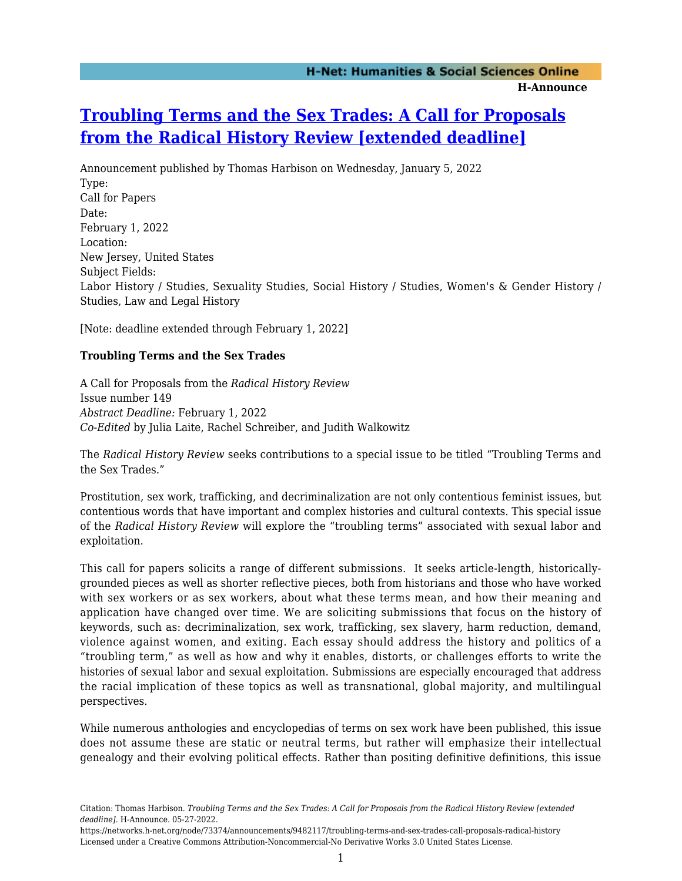## **[Troubling Terms and the Sex Trades: A Call for Proposals](https://networks.h-net.org/node/73374/announcements/9482117/troubling-terms-and-sex-trades-call-proposals-radical-history) [from the Radical History Review \[extended deadline\]](https://networks.h-net.org/node/73374/announcements/9482117/troubling-terms-and-sex-trades-call-proposals-radical-history)**

Announcement published by Thomas Harbison on Wednesday, January 5, 2022 Type: Call for Papers Date: February 1, 2022 Location: New Jersey, United States Subject Fields: Labor History / Studies, Sexuality Studies, Social History / Studies, Women's & Gender History / Studies, Law and Legal History

[Note: deadline extended through February 1, 2022]

## **Troubling Terms and the Sex Trades**

A Call for Proposals from the *Radical History Review* Issue number 149 *Abstract Deadline:* February 1, 2022 *Co-Edited* by Julia Laite, Rachel Schreiber, and Judith Walkowitz

The *Radical History Review* seeks contributions to a special issue to be titled "Troubling Terms and the Sex Trades."

Prostitution, sex work, trafficking, and decriminalization are not only contentious feminist issues, but contentious words that have important and complex histories and cultural contexts. This special issue of the *Radical History Review* will explore the "troubling terms" associated with sexual labor and exploitation.

This call for papers solicits a range of different submissions. It seeks article-length, historicallygrounded pieces as well as shorter reflective pieces, both from historians and those who have worked with sex workers or as sex workers, about what these terms mean, and how their meaning and application have changed over time. We are soliciting submissions that focus on the history of keywords, such as: decriminalization, sex work, trafficking, sex slavery, harm reduction, demand, violence against women, and exiting. Each essay should address the history and politics of a "troubling term," as well as how and why it enables, distorts, or challenges efforts to write the histories of sexual labor and sexual exploitation. Submissions are especially encouraged that address the racial implication of these topics as well as transnational, global majority, and multilingual perspectives.

While numerous anthologies and encyclopedias of terms on sex work have been published, this issue does not assume these are static or neutral terms, but rather will emphasize their intellectual genealogy and their evolving political effects. Rather than positing definitive definitions, this issue

Citation: Thomas Harbison. *Troubling Terms and the Sex Trades: A Call for Proposals from the Radical History Review [extended deadline]*. H-Announce. 05-27-2022.

https://networks.h-net.org/node/73374/announcements/9482117/troubling-terms-and-sex-trades-call-proposals-radical-history Licensed under a Creative Commons Attribution-Noncommercial-No Derivative Works 3.0 United States License.